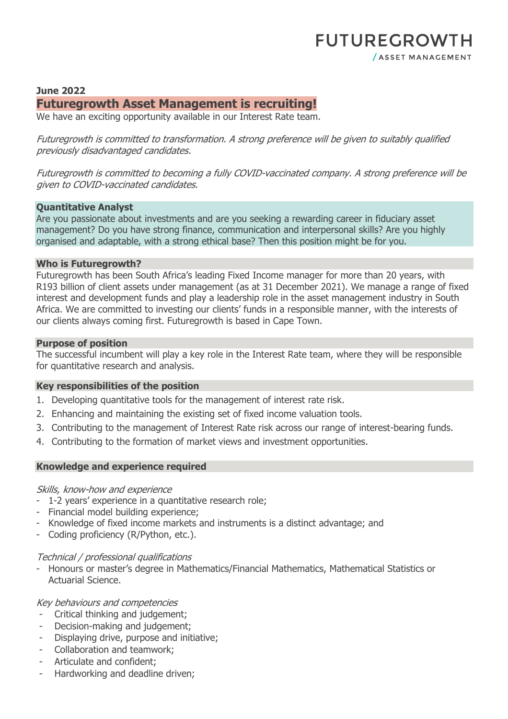## **June 2022 Futuregrowth Asset Management is recruiting!**

We have an exciting opportunity available in our Interest Rate team.

Futuregrowth is committed to transformation. A strong preference will be given to suitably qualified previously disadvantaged candidates.

Futuregrowth is committed to becoming a fully COVID-vaccinated company. A strong preference will be given to COVID-vaccinated candidates.

#### **Quantitative Analyst**

Are you passionate about investments and are you seeking a rewarding career in fiduciary asset management? Do you have strong finance, communication and interpersonal skills? Are you highly organised and adaptable, with a strong ethical base? Then this position might be for you.

#### **Who is Futuregrowth?**

Futuregrowth has been South Africa's leading Fixed Income manager for more than 20 years, with R193 billion of client assets under management (as at 31 December 2021). We manage a range of fixed interest and development funds and play a leadership role in the asset management industry in South Africa. We are committed to investing our clients' funds in a responsible manner, with the interests of our clients always coming first. Futuregrowth is based in Cape Town.

#### **Purpose of position**

The successful incumbent will play a key role in the Interest Rate team, where they will be responsible for quantitative research and analysis.

## **Key responsibilities of the position**

- 1. Developing quantitative tools for the management of interest rate risk.
- 2. Enhancing and maintaining the existing set of fixed income valuation tools.
- 3. Contributing to the management of Interest Rate risk across our range of interest-bearing funds.
- 4. Contributing to the formation of market views and investment opportunities.

## **Knowledge and experience required**

#### Skills, know-how and experience

- 1-2 years' experience in a quantitative research role;
- Financial model building experience;
- Knowledge of fixed income markets and instruments is a distinct advantage; and
- Coding proficiency (R/Python, etc.).

## Technical / professional qualifications

- Honours or master's degree in Mathematics/Financial Mathematics, Mathematical Statistics or Actuarial Science.

## Key behaviours and competencies

- Critical thinking and judgement;
- Decision-making and judgement;
- Displaying drive, purpose and initiative;
- Collaboration and teamwork;
- Articulate and confident;
- Hardworking and deadline driven;